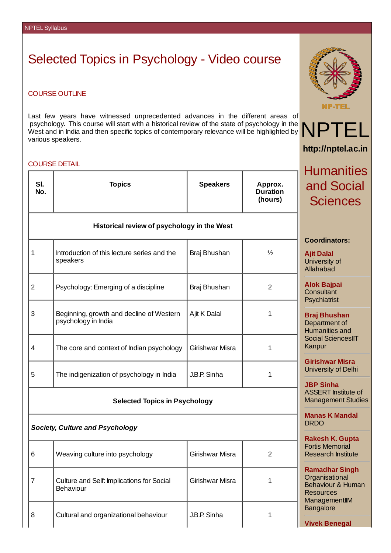## Selected Topics in Psychology - Video course

## COURSE OUTLINE

Last few years have witnessed unprecedented advances in the different areas of psychology. This course will start with a historical review of the state of psychology in the West and in India and then specific topics of contemporary relevance will be highlighted by various speakers.

## COURSE DETAIL

|                | UUURJE DETAIL                                                   | <b>Humanities</b>                                                           |                                       |                                                                                |
|----------------|-----------------------------------------------------------------|-----------------------------------------------------------------------------|---------------------------------------|--------------------------------------------------------------------------------|
| SI.<br>No.     | <b>Topics</b>                                                   | <b>Speakers</b>                                                             | Approx.<br><b>Duration</b><br>(hours) | and Social<br><b>Sciences</b>                                                  |
|                | Historical review of psychology in the West                     |                                                                             |                                       |                                                                                |
| $\mathbf 1$    | Introduction of this lecture series and the<br>speakers         | Braj Bhushan                                                                | $\frac{1}{2}$                         | <b>Coordinators:</b><br><b>Ajit Dalal</b><br>University of<br><b>Allahabad</b> |
| $\overline{2}$ | Psychology: Emerging of a discipline                            | Braj Bhushan                                                                | $\overline{2}$                        | <b>Alok Bajpai</b><br>Consultant<br>Psychiatrist                               |
| 3              | Beginning, growth and decline of Western<br>psychology in India | Ajit K Dalal                                                                | 1                                     | <b>Braj Bhushan</b><br>Department of<br><b>Humanities and</b>                  |
| 4              | The core and context of Indian psychology                       | Girishwar Misra                                                             | $\mathbf 1$                           | <b>Social SciencesIIT</b><br>Kanpur                                            |
| 5              | The indigenization of psychology in India                       | J.B.P. Sinha                                                                | 1                                     | <b>Girishwar Misra</b><br>University of Delhi                                  |
|                | <b>Selected Topics in Psychology</b>                            | <b>JBP Sinha</b><br><b>ASSERT</b> Institute of<br><b>Management Studies</b> |                                       |                                                                                |
|                | <b>Society, Culture and Psychology</b>                          | <b>Manas K Mandal</b><br><b>DRDO</b>                                        |                                       |                                                                                |
|                |                                                                 |                                                                             |                                       |                                                                                |

| 6 | Weaving culture into psychology                               | Girishwar Misra |  |
|---|---------------------------------------------------------------|-----------------|--|
|   | Culture and Self: Implications for Social<br><b>Behaviour</b> | Girishwar Misra |  |
| 8 | Cultural and organizational behaviour                         | J.B.P. Sinha    |  |



NPT **http://nptel.ac.in**

**Rakesh K. Gupta** Fortis Memorial Research Institute

**Ramadhar Singh Organisational** Behaviour & Human

**Resources** ManagementIIM **Bangalore** 

**Vivek Benegal**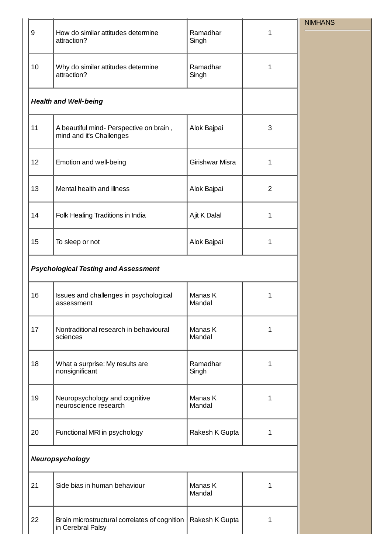|    |                                                                     |                   |                | <b>NIMHANS</b> |
|----|---------------------------------------------------------------------|-------------------|----------------|----------------|
| 9  | How do similar attitudes determine<br>attraction?                   | Ramadhar<br>Singh | $\mathbf{1}$   |                |
| 10 | Why do similar attitudes determine<br>attraction?                   | Ramadhar<br>Singh | $\mathbf 1$    |                |
|    | <b>Health and Well-being</b>                                        |                   |                |                |
| 11 | A beautiful mind- Perspective on brain,<br>mind and it's Challenges | Alok Bajpai       | 3              |                |
| 12 | Emotion and well-being                                              | Girishwar Misra   | $\mathbf{1}$   |                |
| 13 | Mental health and illness                                           | Alok Bajpai       | $\overline{c}$ |                |
| 14 | Folk Healing Traditions in India                                    | Ajit K Dalal      | $\mathbf{1}$   |                |
| 15 | To sleep or not                                                     | Alok Bajpai       | $\mathbf{1}$   |                |
|    | <b>Psychological Testing and Assessment</b>                         |                   |                |                |
| 16 | Issues and challenges in psychological<br>assessment                | Manas K<br>Mandal | $\mathbf{1}$   |                |
| 17 | Nontraditional research in behavioural<br>sciences                  | Manas K<br>Mandal | $\mathbf{1}$   |                |
| 18 | What a surprise: My results are<br>nonsignificant                   | Ramadhar<br>Singh | $\mathbf{1}$   |                |
| 19 | Neuropsychology and cognitive<br>neuroscience research              | Manas K<br>Mandal | 1              |                |
| 20 | Functional MRI in psychology                                        | Rakesh K Gupta    | $\mathbf{1}$   |                |
|    | Neuropsychology                                                     |                   |                |                |
| 21 | Side bias in human behaviour                                        | Manas K<br>Mandal | $\mathbf{1}$   |                |
| 22 | Brain microstructural correlates of cognition<br>in Cerebral Palsy  | Rakesh K Gupta    | 1              |                |